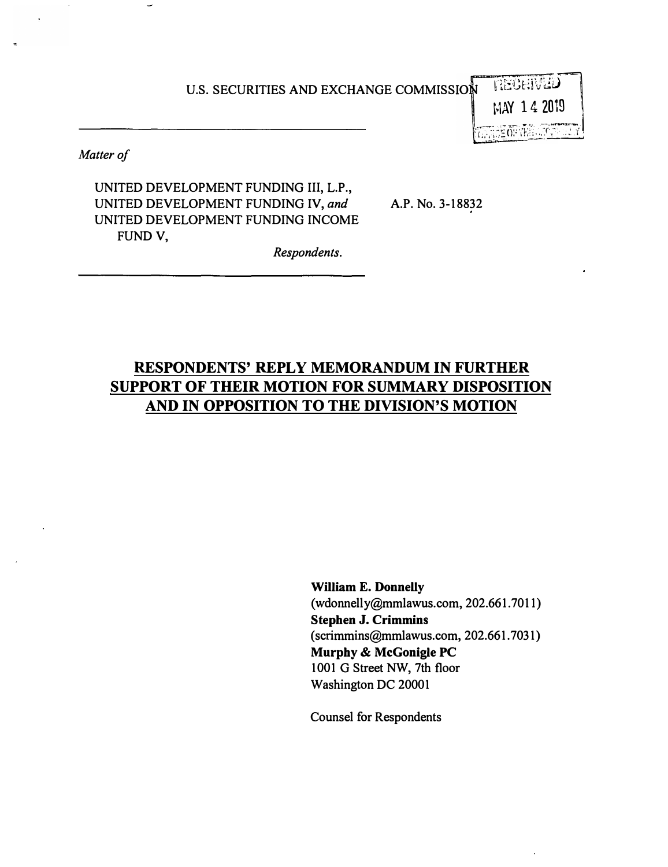#### U.S. SECURITIES AND EXCHANGE COMMISSION :

 $\begin{array}{c}\nMAY = 1 \\
MAY = 1\n\end{array}$ : تألم<del>ا</del>ني<br>ا  $\begin{bmatrix} 1 & 0 \\ 2 & 0 \\ 2 & 0 \end{bmatrix}$ 

� , ;,·, *i•1�\_0,·* , *r,�2*\_! ·

*Matter of* 

UNITED DEVELOPMENT FUNDING Ill, L.P., UNITED DEVELOPMENT FUNDING IV, *and* A.P. No. 3-18832 UNITED DEVELOPMENT FUNDING INCOME FUND V,

**RESPONDENTS' REPLY MEMORANDUM IN FURTHER SUPPORT OF THEIR MOTION FOR SUMMARY DISPOSITION AND IN OPPOSITION TO THE DIVISION'S MOTION** 

*Respondents.* 

William E. Donnelly [\(wdonnelly@mmlawus.com](mailto:wdonnelly@mmlawus.com), 202.661.7011) Stephen J. Crimmins ([scrimmins@mmlawus.com,](mailto:scrimmins@mmlawus.com) 202.661. 7031) Murphy & McGonigle PC 1001 G Street NW, 7th floor Washington DC 20001

Counsel for Respondents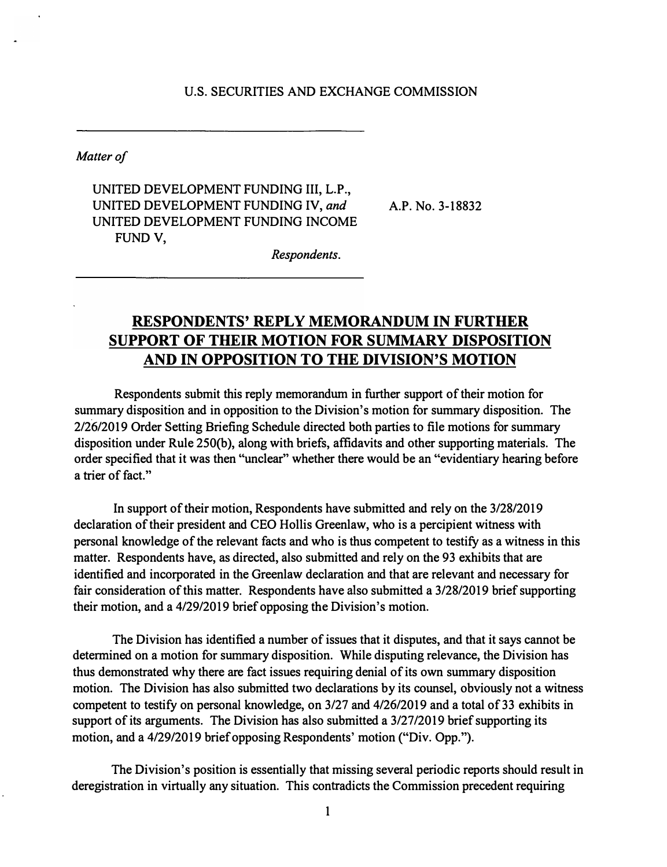# **U.S. SECURITIES AND EXCHANGE COMMISSION**

*Matter of* 

**UNITED DEVELOPMENT FUNDING III, L.P., UNITED DEVELOPMENT FUNDING IV,** *and* **A.P. No. 3-18832 UNITED DEVELOPMENT FUNDING INCOME FUND V,** 

*Respondents.* 

# **RESPONDENTS' REPLY MEMORANDUM IN FURTHER SUPPORT OF THEIR MOTION FOR SUMMARY DISPOSITION AND IN OPPOSITION TO THE DIVISION'S MOTION**

**Respondents submit this reply memorandum in further support of their motion for summary disposition and in opposition to the Division's motion for summary disposition. The 2/26/2019 Order Setting Briefing Schedule directed both parties to file motions for summary**  disposition under Rule 250(b), along with briefs, affidavits and other supporting materials. The **order specified that it was then "unclear" whether there would be an "evidentiary hearing before a trier of fact."** 

**In support of their motion, Respondents have submitted and rely on the 3/28/2019 declaration of their president and CEO Hollis Greenlaw, who is a percipient witness with personal knowledge of the relevant facts and who is thus competent to testify as a witness in this matter. Respondents have, as directed, also submitted and rely on the 93 exhibits that are identified and incorporated in the Greenlaw declaration and that are relevant and necessary for fair consideration of this matter. Respondents have also submitted a 3/28/2019 brief supporting their motion, and a 4/29/2019 brief opposing the Division's motion.** 

**The Division has identified a number of issues that it disputes, and that it says cannot be determined on a motion for summary disposition. While disputing relevance, the Division has thus demonstrated why there are fact issues requiring denial of its own summary disposition motion. The Division has also submitted two declarations by its counsel, obviously not a witness**  competent to testify on personal knowledge, on 3/27 and 4/26/2019 and a total of 33 exhibits in **support of its arguments. The Division has also submitted a 3/27/2019 brief supporting its motion, and a 4/29/2019 brief opposing Respondents' motion ("Div. Opp.").** 

**The Division's position is essentially that missing several periodic reports should result in deregistration in virtually any situation. This contradicts the Commission precedent requiring**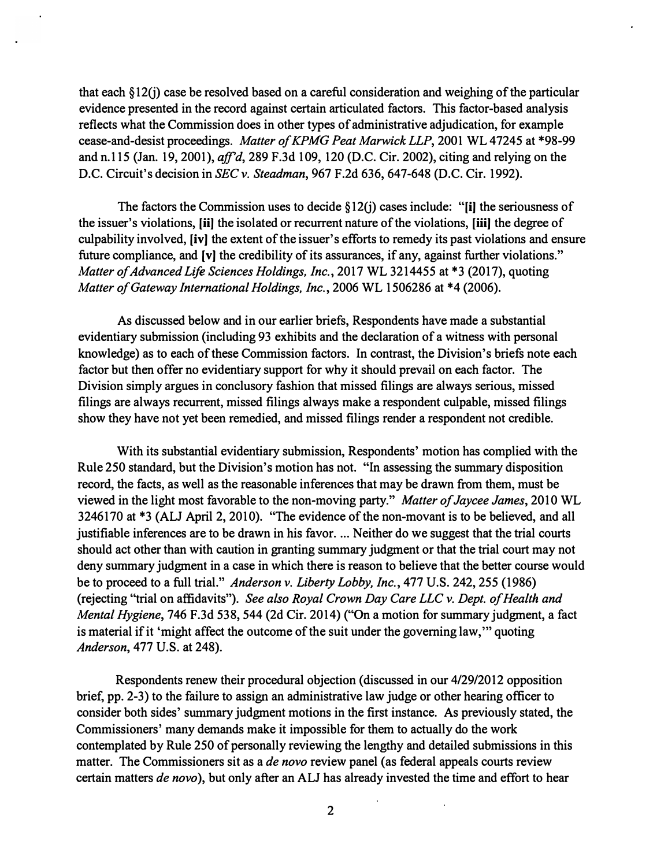that each  $\S 12(i)$  case be resolved based on a careful consideration and weighing of the particular evidence presented in the record against certain articulated factors. This factor-based analysis reflects what the Commission does in other types of administrative adjudication, for example cease-and-desist proceedings. *Matter of KPMG Peat Marwick LLP,* 2001 WL 47245 at \*98-99 and n.115 (Jan. 19, 2001), *aff'd,* 289 F.3d 109, 120 (D.C. Cir. 2002), citing and relying on the D.C. Circuit's decision in *SEC v. Steadman, 961* F.2d 636, 647-648 (D.C. Cir. 1992).

The factors the Commission uses to decide  $\S 12(i)$  cases include: "[i] the seriousness of the issuer's violations, [ii] the isolated or recurrent nature of the violations, [iii] the degree of culpability involved, [iv] the extent of the issuer's efforts to remedy its past violations and ensure future compliance, and [v] the credibility of its assurances, if any, against further violations." *Matter of Advanced Life Sciences Holdings, Inc.,* 2017 WL 3214455 at \*3 (2017), quoting *Matter of Gateway International Holdings, Inc.,* 2006 WL 1506286 at \*4 (2006).

As discussed below and in our earlier briefs, Respondents have made a substantial evidentiary submission (including 93 exhibits and the declaration of a witness with personal knowledge) as to each of these Commission factors. In contrast, the Division's briefs note each factor but then offer no evidentiary support for why it should prevail on each factor. The Division simply argues in conclusory fashion that missed filings are always serious, missed filings are always recurrent, missed filings always make a respondent culpable, missed filings show they have not yet been remedied, and missed filings render a respondent not credible.

With its substantial evidentiary submission, Respondents' motion has complied with the Rule 250 standard, but the Division's motion has not. "In assessing the summary disposition record, the facts, as well as the reasonable inferences that may be drawn from them, must be viewed in the light most favorable to the non-moving party." *Matter of Jaycee James,* 2010 WL 3246170 at \*3 (ALJ April 2, 2010). "The evidence of the non-movant is to be believed, and all justifiable inferences are to be drawn in his favor. ... Neither do we suggest that the trial courts should act other than with caution in granting summary judgment or that the trial court may not deny summary judgment in a case in which there is reason to believe that the better course would be to proceed to a full trial." *Anderson v. Liberty Lobby, Inc., 411* U.S. 242,255 (1986) (rejecting "trial on affidavits"). *See also Royal Crown Day Care LLC v. Dept. of Health and Mental Hygiene, 746 F.3d 538, 544 (2d Cir. 2014) ("On a motion for summary judgment, a fact* is material if it 'might affect the outcome of the suit under the governing law,"' quoting *Anderson, 411* U.S. at 248).

Respondents renew their procedural objection (discussed in our 4/29/2012 opposition brief, pp. 2-3) to the failure to assign an administrative law judge or other hearing officer to consider both sides' summary judgment motions in the first instance. As previously stated, the Commissioners' many demands make it impossible for them to actually do the work contemplated by Rule 250 of personally reviewing the lengthy and detailed submissions in this matter. The Commissioners sit as a *de novo* review panel ( as federal appeals courts review certain matters *de novo* ), but only after an ALJ has already invested the time and effort to hear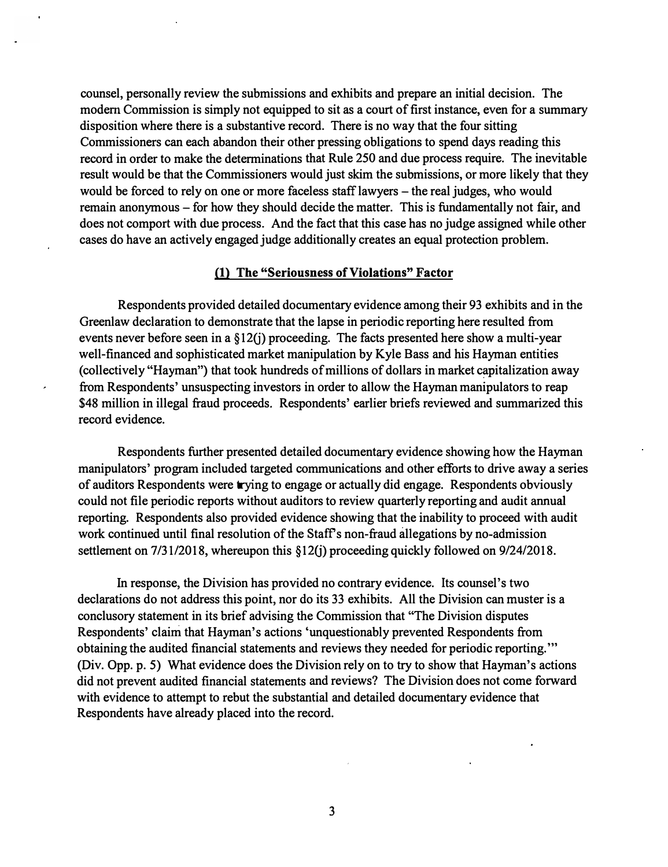**counsel, personally review the submissions and exhibits and prepare an initial decision. The modern Commission is simply not equipped to sit as a court of first instance, even for a summary disposition where there is a substantive record. There is no way that the four sitting Commissioners can each abandon their other pressing obligations to spend days reading this record in order to make the determinations that Rule 250 and due process require. The inevitable result would be that the Commissioners would just skim the submissions, or more likely that they**  would be forced to rely on one or more faceless staff lawyers – the real judges, who would **remain anonymous - for how they should decide the matter. This is fundamentally not fair, and does not comport with due process. And the fact that this case has no judge assigned while other cases do have an actively engaged judge additionally creates an equal protection problem.** 

# **(1) The "Seriousness of Violations" Factor**

**Respondents provided detailed documentary evidence among their 93 exhibits and in the Greenlaw declaration to demonstrate that the lapse in periodic reporting here resulted from events never before seen in a §12G) proceeding. The facts presented here show a multi-year well-financed and sophisticated market manipulation by Kyle Bass and his Hayman entities ( collectively "Hayman") that took hundreds of millions of dollars in market c�pitalization away from Respondents' unsuspecting investors in order to allow the Hayman manipulators to reap \$48 million in illegal fraud proceeds. Respondents' earlier briefs reviewed and summarized this record evidence.** 

**Respondents further presented detailed documentary evidence showing how the Hayman manipulators' program included targeted communications and other efforts to drive away a series of auditors Respondents were trying to engage or actually did engage. Respondents obviously could not file periodic reports without auditors to review quarterly reporting and audit annual reporting. Respondents also provided evidence showing that the inability to proceed with audit work continued until final resolution of the Staffs non-fraud allegations by no-admission settlement on 7/31/2018, whereupon this §12(j) proceeding quickly followed on 9/24/2018.** 

**In response, the Division has provided no contrary evidence. Its counsel's two declarations do not address this point, nor do its 33 exhibits. All the Division can muster is a conclusory statement in its brief advising the Commission that "The Division disputes**  Respondents' claim that Hayman's actions 'unquestionably prevented Respondents from **obtaining the audited financial statements and reviews they needed for periodic reporting."' (Div. Opp. p. 5) What evidence does the Division rely on to try to show that Hayman's actions did not prevent audited financial statements and reviews? The Division does not come forward with evidence to attempt to rebut the substantial and detailed documentary evidence that Respondents have already placed into the record.**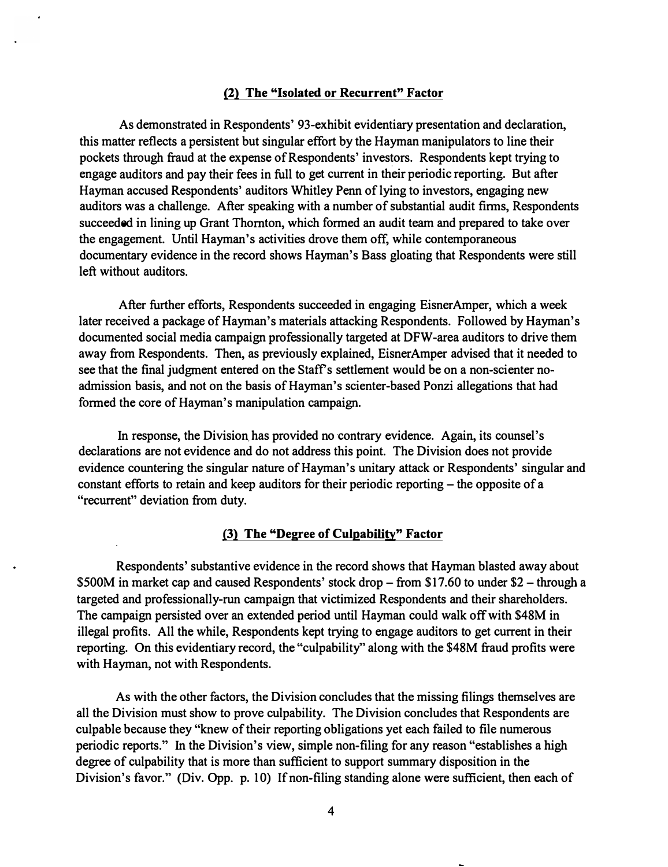#### **(2) The "Isolated or Recurrent" Factor**

As demonstrated in Respondents' 93-exhibit evidentiary presentation and declaration, this matter reflects a persistent but singular effort by the Hayman manipulators to line their pockets through fraud at the expense of Respondents' investors. Respondents kept trying to engage auditors and pay their fees in full to get current in their periodic reporting. But after Hayman accused Respondents' auditors Whitley Penn of lying to investors, engaging new auditors was a challenge. After speaking with a number of substantial audit firms, Respondents succeeded in lining up Grant Thornton, which formed an audit team and prepared to take over the engagement. Until Hayman's activities drove them off, while contemporaneous documentary evidence in the record shows Hayman's Bass gloating that Respondents were still left without auditors.

After further efforts, Respondents succeeded in engaging EisnerAmper, which a week later received a package of Hayman's materials attacking Respondents. Followed by Hayman's documented social media campaign professionally targeted at DFW-area auditors to drive them away from Respondents. Then, as previously explained, EisnerAmper advised that it needed to see that the final judgment entered on the Staff's settlement would be on a non-scienter noadmission basis, and not on the basis of Hayman's scienter-based Ponzi allegations that had formed the core of Hayman's manipulation campaign.

In response, the Division has provided no contrary evidence. Again, its counsel's declarations are not evidence and do not address this point. The Division does not provide evidence countering the singular nature of Hayman's unitary attack or Respondents' singular and constant efforts to retain and keep auditors for their periodic reporting – the opposite of a "recurrent" deviation from duty.

# **(3) The "Degree of Culpability" Factor**

Respondents' substantive evidence in the record shows that Hayman blasted away about \$500M in market cap and caused Respondents' stock drop – from \$17.60 to under \$2 – through a targeted and professionally-run campaign that victimized Respondents and their shareholders. The campaign persisted over an extended period until Hayman could walk off with \$48M in illegal profits. All the while, Respondents kept trying to engage auditors to get current in their reporting. On this evidentiary record, the "culpability" along with the \$48M fraud profits were with Hayman, not with Respondents.

As with the other factors, the Division concludes that the missing filings themselves are all the Division must show to prove culpability. The Division concludes that Respondents are culpable because they "knew of their reporting obligations yet each failed to file numerous periodic reports." In the Division's view, simple non-filing for any reason "establishes a high degree of culpability that is more than sufficient to support summary disposition in the Division's favor." (Div. Opp. p. 10) If non-filing standing alone were sufficient, then each of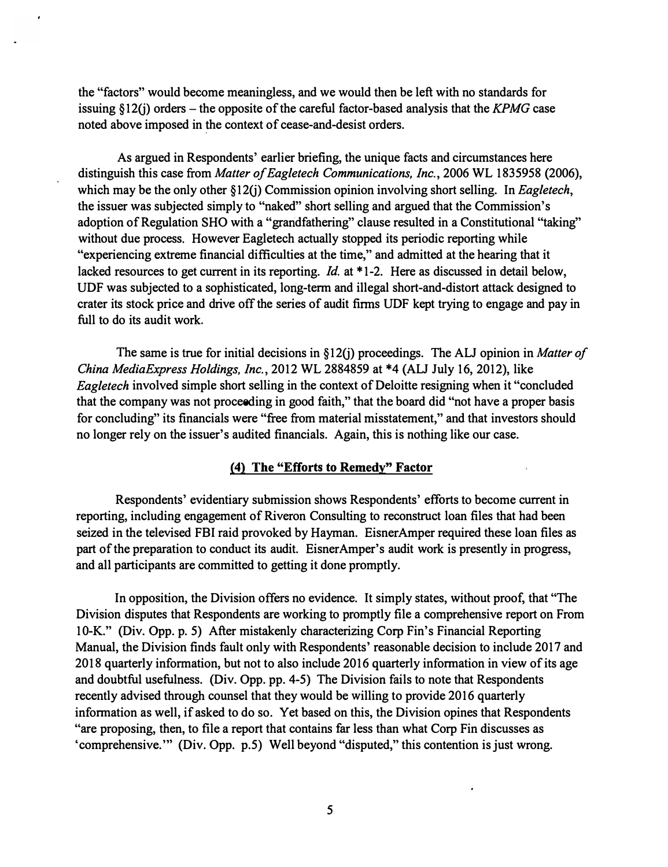the "factors" would become meaningless, and we would then be left with no standards for issuing  $\S 12(i)$  orders – the opposite of the careful factor-based analysis that the *KPMG* case noted above imposed in �he context of cease-and-desist orders.

As argued in Respondents' earlier briefing, the unique facts and circumstances here distinguish this case from *Matter of Eagletech Communications, Inc.,* 2006 WL 1835958 (2006), which may be the only other §12(j) Commission opinion involving short selling. In *Eagletech*, the issuer was subjected simply to "naked" short selling and argued that the Commission's adoption of Regulation SHO with a "grandfathering" clause resulted in a Constitutional "taking" without due process. However Eagletech actually stopped its periodic reporting while "experiencing extreme financial difficulties at the time," and admitted at the hearing that it lacked resources to get current in its reporting. *Id.* at \* 1-2. Here as discussed in detail below, UDF was subjected to a sophisticated, long-term and illegal short-and-distort attack designed to crater its stock price and drive off the series of audit firms UDF kept trying to engage and pay in full to do its audit work.

The same is true for initial decisions in §12(j) proceedings. The ALJ opinion in *Matter of China MediaExpress Holdings, Inc.,* 2012 WL 2884859 at \*4 (ALJ July 16, 2012), like *Eagletech* involved simple short selling in the context of Deloitte resigning when it "concluded" that the company was not proceeding in good faith," that the board did "not have a proper basis for concluding" its financials were "free from material misstatement," and that investors should no longer rely on the issuer's audited financials. Again, this is nothing like our case.

### **{4) The "Efforts to Remedy" Factor**

Respondents' evidentiary submission shows Respondents' efforts to become current in reporting, including engagement of Riveron Consulting to reconstruct loan files that had been seized in the televised FBI raid provoked by Hayman. EisnerAmper required these loan files as part of the preparation to conduct its audit. EisnerAmper's audit work is presently in progress, and all participants are committed to getting it done promptly.

In opposition, the Division offers no evidence. It simply states, without proof, that "The Division disputes that Respondents are working to promptly file a comprehensive report on From 10-K." (Div. Opp. p. 5) After mistakenly characterizing Corp Fin's Financial Reporting Manual, the Division finds fault only with Respondents' reasonable decision to include 2017 and 2018 quarterly information, but not to also include 2016 quarterly information in view of its age and doubtful usefulness. (Div. Opp. pp. 4-5) The Division fails to note that Respondents recently advised through counsel that they would be willing to provide 2016 quarterly information as well, if asked to do so. Yet based on this, the Division opines that Respondents "are proposing, then, to file a report that contains far less than what Corp Fin discusses as 'comprehensive."' (Div. Opp. p.5) Well beyond "disputed," this contention is just wrong.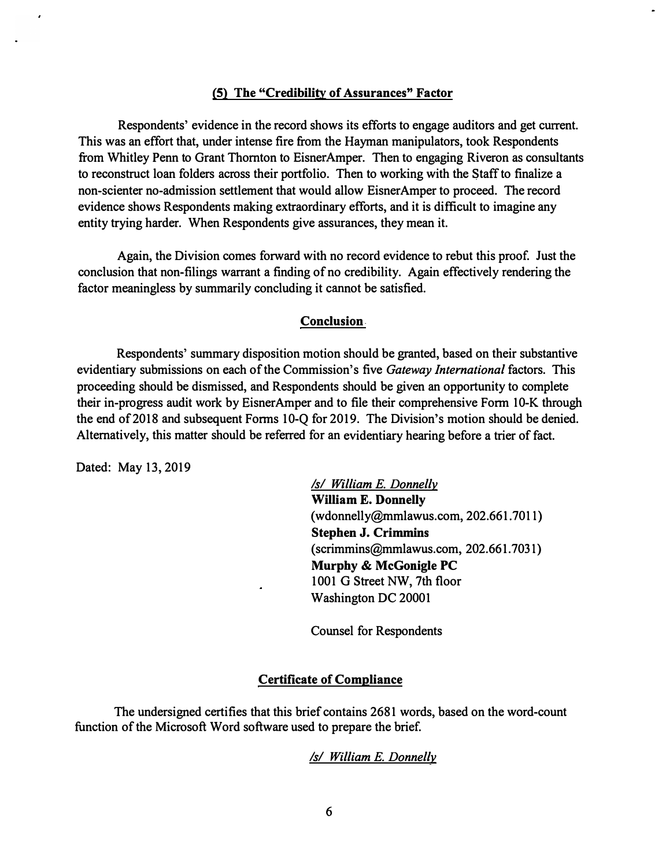# **(5) The "Credibility of Assurances" Factor**

Respondents' evidence in the record shows its efforts to engage auditors and get current. This was an effort that, under intense fire from the Hayman manipulators, took Respondents from Whitley Penn to Grant Thornton to EisnerAmper. Then to engaging Riveron as consultants to reconstruct loan folders across their portfolio. Then to working with the �taff to finalize a non-scienter no-admission settlement that would allow EisnerAmper to proceed. The record evidence shows Respondents making extraordinary efforts, and it is difficult to imagine any entity trying harder. When Respondents give assurances, they mean it.

Again, the Division comes forward with no record evidence to rebut this proof. Just the conclusion that non-filings warrant a finding of no credibility. Again effectively rendering the factor meaningless by summarily concluding it cannot be satisfied.

# **Conclusion.**

Respondents' summary disposition motion should be granted, based on their substantive evidentiary submissions on each of the Commission's five *Gateway International* factors. This proceeding should be dismissed, and Respondents should be given an opportunity to complete their in-progress audit work by EisnerAmper and to file their comprehensive Form 10-K through the end of2018 and subsequent Forms 10-Q for 2019. The Division's motion should be denied. Alternatively, this matter should be referred for an evidentiary hearing before a trier of fact.

Dated: May 13, 2019

*Isl William E. Donnelly*  **William** E. **Donnelly**  ([wdonnelly@mmlawus.com](mailto:wdonnelly@mmlawus.com), 202.661.7011) **Stephen J. Crimmins**  [\(scrimmins@mmlawus.com,](mailto:scrimmins@mmlawus.com) 202.661.7031) **Murphy** & **McGonigle PC**  1001 G Street NW, 7th floor Washington DC 20001

Counsel for Respondents

#### **Certificate of Compliance**

The undersigned certifies that this brief contains 2681 words, based on the word-count function of the Microsoft Word software used to prepare the brief.

*Isl William E. Donnelly*